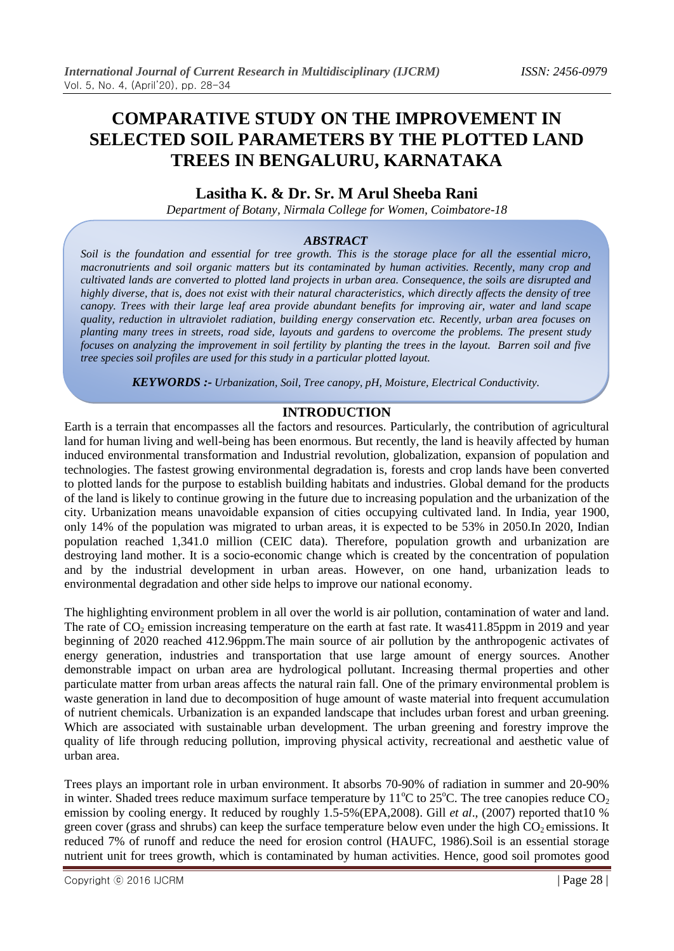# **COMPARATIVE STUDY ON THE IMPROVEMENT IN SELECTED SOIL PARAMETERS BY THE PLOTTED LAND TREES IN BENGALURU, KARNATAKA**

# **Lasitha K. & Dr. Sr. M Arul Sheeba Rani**

*Department of Botany, Nirmala College for Women, Coimbatore-18*

## *ABSTRACT*

*Soil is the foundation and essential for tree growth. This is the storage place for all the essential micro, macronutrients and soil organic matters but its contaminated by human activities. Recently, many crop and cultivated lands are converted to plotted land projects in urban area. Consequence, the soils are disrupted and highly diverse, that is, does not exist with their natural characteristics, which directly affects the density of tree canopy. Trees with their large leaf area provide abundant benefits for improving air, water and land scape quality, reduction in ultraviolet radiation, building energy conservation etc. Recently, urban area focuses on planting many trees in streets, road side, layouts and gardens to overcome the problems. The present study focuses on analyzing the improvement in soil fertility by planting the trees in the layout. Barren soil and five tree species soil profiles are used for this study in a particular plotted layout.*

*KEYWORDS :- Urbanization, Soil, Tree canopy, pH, Moisture, Electrical Conductivity.*

### **INTRODUCTION**

Earth is a terrain that encompasses all the factors and resources. Particularly, the contribution of agricultural land for human living and well-being has been enormous. But recently, the land is heavily affected by human induced environmental transformation and Industrial revolution, globalization, expansion of population and technologies. The fastest growing environmental degradation is, forests and crop lands have been converted to plotted lands for the purpose to establish building habitats and industries. Global demand for the products of the land is likely to continue growing in the future due to increasing population and the urbanization of the city. Urbanization means unavoidable expansion of cities occupying cultivated land. In India, year 1900, only 14% of the population was migrated to urban areas, it is expected to be 53% in 2050.In 2020, Indian population reached 1,341.0 million (CEIC data). Therefore, population growth and urbanization are destroying land mother. It is a socio-economic change which is created by the concentration of population and by the industrial development in urban areas. However, on one hand, urbanization leads to environmental degradation and other side helps to improve our national economy.

The highlighting environment problem in all over the world is air pollution, contamination of water and land. The rate of CO<sub>2</sub> emission increasing temperature on the earth at fast rate. It was411.85ppm in 2019 and year beginning of 2020 reached 412.96ppm.The main source of air pollution by the anthropogenic activates of energy generation, industries and transportation that use large amount of energy sources. Another demonstrable impact on urban area are hydrological pollutant. Increasing thermal properties and other particulate matter from urban areas affects the natural rain fall. One of the primary environmental problem is waste generation in land due to decomposition of huge amount of waste material into frequent accumulation of nutrient chemicals. Urbanization is an expanded landscape that includes urban forest and urban greening. Which are associated with sustainable urban development. The urban greening and forestry improve the quality of life through reducing pollution, improving physical activity, recreational and aesthetic value of urban area.

Trees plays an important role in urban environment. It absorbs 70-90% of radiation in summer and 20-90% in winter. Shaded trees reduce maximum surface temperature by  $11^{\circ}$ C to  $25^{\circ}$ C. The tree canopies reduce CO<sub>2</sub> emission by cooling energy. It reduced by roughly 1.5-5%(EPA,2008). Gill *et al*., (2007) reported that10 % green cover (grass and shrubs) can keep the surface temperature below even under the high  $CO<sub>2</sub>$  emissions. It reduced 7% of runoff and reduce the need for erosion control (HAUFC, 1986).Soil is an essential storage nutrient unit for trees growth, which is contaminated by human activities. Hence, good soil promotes good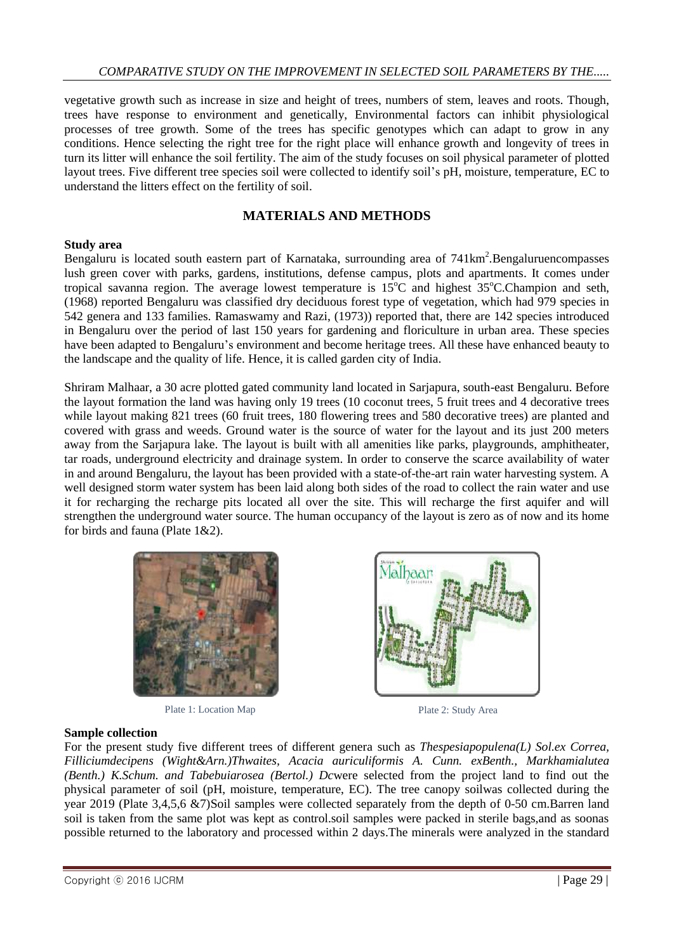vegetative growth such as increase in size and height of trees, numbers of stem, leaves and roots. Though, trees have response to environment and genetically, Environmental factors can inhibit physiological processes of tree growth. Some of the trees has specific genotypes which can adapt to grow in any conditions. Hence selecting the right tree for the right place will enhance growth and longevity of trees in turn its litter will enhance the soil fertility. The aim of the study focuses on soil physical parameter of plotted layout trees. Five different tree species soil were collected to identify soil's pH, moisture, temperature, EC to understand the litters effect on the fertility of soil.

# **MATERIALS AND METHODS**

### **Study area**

Bengaluru is located south eastern part of Karnataka, surrounding area of 741km<sup>2</sup>. Bengaluruencompasses lush green cover with parks, gardens, institutions, defense campus, plots and apartments. It comes under tropical savanna region. The average lowest temperature is  $15^{\circ}$ C and highest  $35^{\circ}$ C.Champion and seth, (1968) reported Bengaluru was classified dry deciduous forest type of vegetation, which had 979 species in 542 genera and 133 families. Ramaswamy and Razi, (1973)) reported that, there are 142 species introduced in Bengaluru over the period of last 150 years for gardening and floriculture in urban area. These species have been adapted to Bengaluru's environment and become heritage trees. All these have enhanced beauty to the landscape and the quality of life. Hence, it is called garden city of India.

Shriram Malhaar, a 30 acre plotted gated community land located in Sarjapura, south-east Bengaluru. Before the layout formation the land was having only 19 trees (10 coconut trees, 5 fruit trees and 4 decorative trees while layout making 821 trees (60 fruit trees, 180 flowering trees and 580 decorative trees) are planted and covered with grass and weeds. Ground water is the source of water for the layout and its just 200 meters away from the Sarjapura lake. The layout is built with all amenities like parks, playgrounds, amphitheater, tar roads, underground electricity and drainage system. In order to conserve the scarce availability of water in and around Bengaluru, the layout has been provided with a state-of-the-art rain water harvesting system. A well designed storm water system has been laid along both sides of the road to collect the rain water and use it for recharging the recharge pits located all over the site. This will recharge the first aquifer and will strengthen the underground water source. The human occupancy of the layout is zero as of now and its home for birds and fauna (Plate 1&2).



Plate 1: Location Map Plate 2: Study Area



### **Sample collection**

For the present study five different trees of different genera such as *Thespesiapopulena(L) Sol.ex Correa, Filliciumdecipens (Wight&Arn.)Thwaites, Acacia auriculiformis A. Cunn. exBenth., Markhamialutea (Benth.) K.Schum. and Tabebuiarosea (Bertol.) Dc*were selected from the project land to find out the physical parameter of soil (pH, moisture, temperature, EC). The tree canopy soilwas collected during the year 2019 (Plate 3,4,5,6 &7)Soil samples were collected separately from the depth of 0-50 cm.Barren land soil is taken from the same plot was kept as control.soil samples were packed in sterile bags,and as soonas possible returned to the laboratory and processed within 2 days.The minerals were analyzed in the standard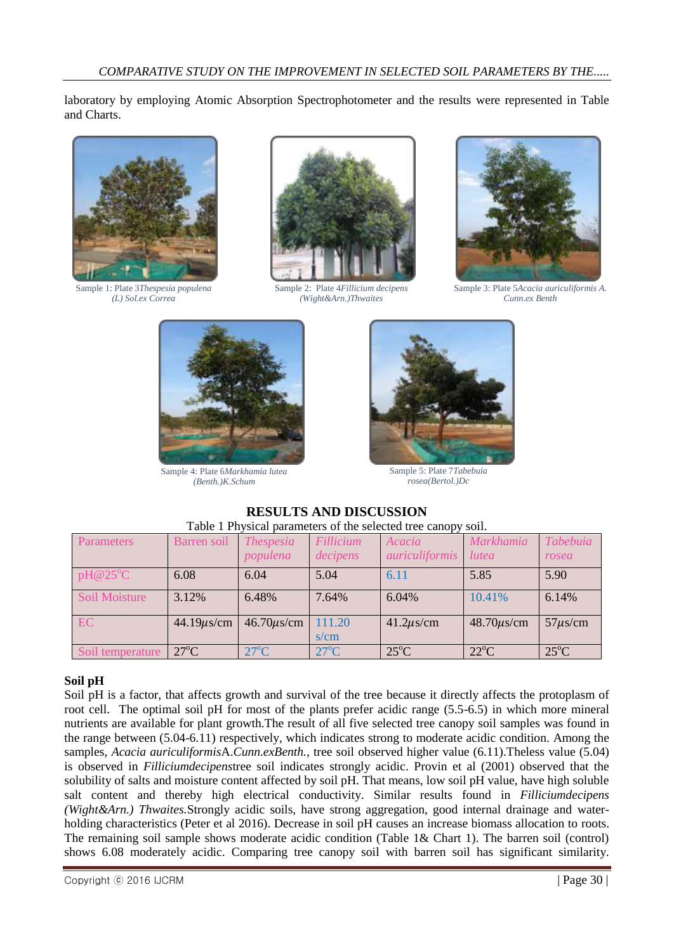laboratory by employing Atomic Absorption Spectrophotometer and the results were represented in Table and Charts.



Sample 1: Plate 3*Thespesia populena (L) Sol.ex Correa*



Sample 2: Plate 4*Fillicium decipens (Wight&Arn.)Thwaites*



Sample 3: Plate 5*Acacia auriculiformis A. Cunn.ex Benth*



Sample 4: Plate 6*Markhamia lutea (Benth.)K.Schum*



Sample 5: Plate 7*Tabebuia rosea(Bertol.)Dc*

# **RESULTS AND DISCUSSION** Table 1 Physical parameters of the selected tree canopy soil.

| <b>Parameters</b> | Barren soil      | <i>Thespesia</i> | <b>Fillicium</b> | Acacia         | <b>Markhamia</b> | Tabebuia       |
|-------------------|------------------|------------------|------------------|----------------|------------------|----------------|
|                   |                  | populena         | decipens         | auriculiformis | <i>lutea</i>     | rosea          |
| pH@25°C           | 6.08             | 6.04             | 5.04             | 6.11           | 5.85             | 5.90           |
| Soil Moisture     | 3.12%            | 6.48%            | 7.64%            | 6.04%          | 10.41%           | 6.14%          |
| <b>EC</b>         | $44.19 \mu s/cm$ | $46.70 \mu s/cm$ | 111.20           | $41.2\mu$ s/cm | $48.70\mu s/cm$  | $57\mu s/cm$   |
|                   |                  |                  | s/cm             |                |                  |                |
| Soil temperature  | $27^{\circ}$ C   | $27^{\circ}$ C   | $27^{\circ}$ C   | $25^{\circ}$ C | $22^{\circ}$ C   | $25^{\circ}$ C |

## **Soil pH**

Soil pH is a factor, that affects growth and survival of the tree because it directly affects the protoplasm of root cell. The optimal soil pH for most of the plants prefer acidic range (5.5-6.5) in which more mineral nutrients are available for plant growth.The result of all five selected tree canopy soil samples was found in the range between (5.04-6.11) respectively, which indicates strong to moderate acidic condition. Among the samples, *Acacia auriculiformis*A.*Cunn.exBenth.,* tree soil observed higher value (6.11).Theless value (5.04) is observed in *Filliciumdecipens*tree soil indicates strongly acidic. Provin et al (2001) observed that the solubility of salts and moisture content affected by soil pH. That means, low soil pH value, have high soluble salt content and thereby high electrical conductivity. Similar results found in *Filliciumdecipens (Wight&Arn.) Thwaites.*Strongly acidic soils, have strong aggregation, good internal drainage and waterholding characteristics (Peter et al 2016). Decrease in soil pH causes an increase biomass allocation to roots. The remaining soil sample shows moderate acidic condition (Table 1& Chart 1). The barren soil (control) shows 6.08 moderately acidic. Comparing tree canopy soil with barren soil has significant similarity.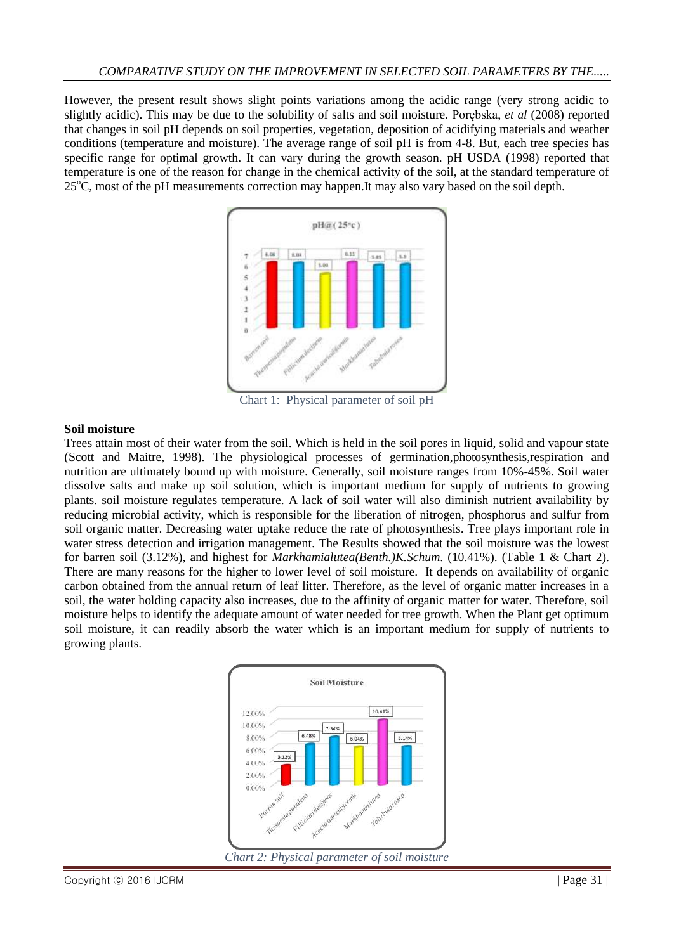However, the present result shows slight points variations among the acidic range (very strong acidic to slightly acidic). This may be due to the solubility of salts and soil moisture. Porębska, *et al* (2008) reported that changes in soil pH depends on soil properties, vegetation, deposition of acidifying materials and weather conditions (temperature and moisture). The average range of soil pH is from 4-8. But, each tree species has specific range for optimal growth. It can vary during the growth season. pH USDA (1998) reported that temperature is one of the reason for change in the chemical activity of the soil, at the standard temperature of  $25^{\circ}$ C, most of the pH measurements correction may happen. It may also vary based on the soil depth.



Chart 1: Physical parameter of soil pH

## **Soil moisture**

Trees attain most of their water from the soil. Which is held in the soil pores in liquid, solid and vapour state (Scott and Maitre, 1998). The physiological processes of germination,photosynthesis,respiration and nutrition are ultimately bound up with moisture. Generally, soil moisture ranges from 10%-45%. Soil water dissolve salts and make up soil solution, which is important medium for supply of nutrients to growing plants. soil moisture regulates temperature. A lack of soil water will also diminish nutrient availability by reducing microbial activity, which is responsible for the liberation of nitrogen, phosphorus and sulfur from soil organic matter. Decreasing water uptake reduce the rate of photosynthesis. Tree plays important role in water stress detection and irrigation management. The Results showed that the soil moisture was the lowest for barren soil (3.12%), and highest for *Markhamialutea(Benth.)K.Schum*. (10.41%). (Table 1 & Chart 2). There are many reasons for the higher to lower level of soil moisture. It depends on availability of organic carbon obtained from the annual return of leaf litter. Therefore, as the level of organic matter increases in a soil, the water holding capacity also increases, due to the affinity of organic matter for water. Therefore, soil moisture helps to identify the adequate amount of water needed for tree growth. When the Plant get optimum soil moisture, it can readily absorb the water which is an important medium for supply of nutrients to growing plants.

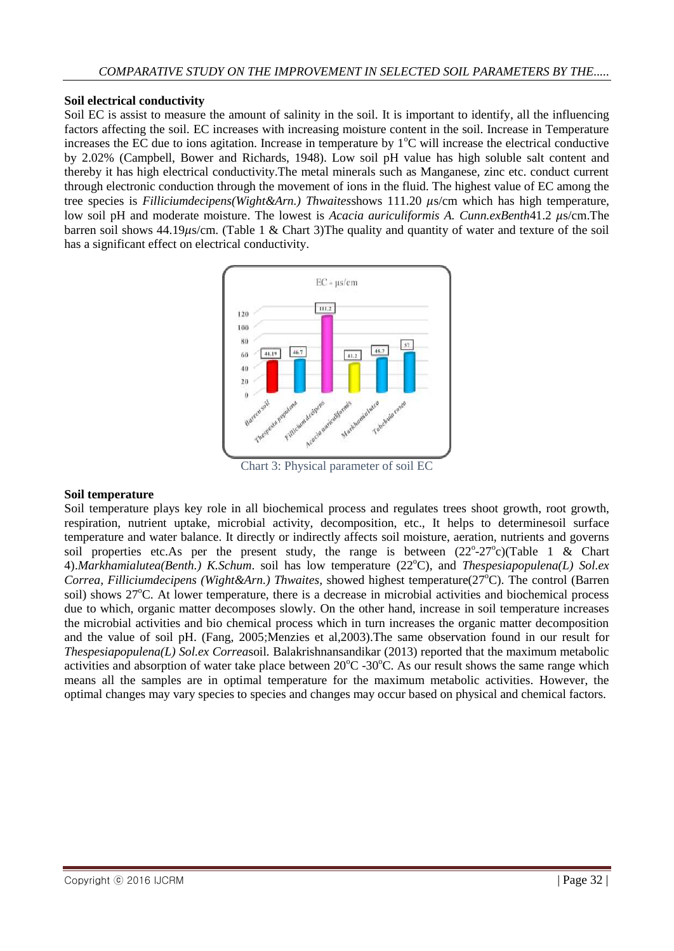### **Soil electrical conductivity**

Soil EC is assist to measure the amount of salinity in the soil. It is important to identify, all the influencing factors affecting the soil. EC increases with increasing moisture content in the soil. Increase in Temperature increases the EC due to ions agitation. Increase in temperature by  $1^{\circ}$ C will increase the electrical conductive by 2.02% (Campbell, Bower and Richards, 1948). Low soil pH value has high soluble salt content and thereby it has high electrical conductivity.The metal minerals such as Manganese, zinc etc. conduct current through electronic conduction through the movement of ions in the fluid. The highest value of EC among the tree species is *Filliciumdecipens(Wight&Arn.) Thwaitesshows* 111.20  $\mu$ s/cm which has high temperature, low soil pH and moderate moisture. The lowest is *Acacia auriculiformis A. Cunn.exBenth*41.2  $\mu$ s/cm.The barren soil shows 44.19 $\mu$ s/cm. (Table 1 & Chart 3)The quality and quantity of water and texture of the soil has a significant effect on electrical conductivity.



Chart 3: Physical parameter of soil EC

### **Soil temperature**

Soil temperature plays key role in all biochemical process and regulates trees shoot growth, root growth, respiration, nutrient uptake, microbial activity, decomposition, etc., It helps to determinesoil surface temperature and water balance. It directly or indirectly affects soil moisture, aeration, nutrients and governs soil properties etc.As per the present study, the range is between  $(22^{\circ}-27^{\circ})$  (Table 1 & Chart 4).*Markhamialutea(Benth.) K.Schum.* soil has low temperature (22<sup>o</sup>C), and *Thespesiapopulena(L) Sol.ex Correa, Filliciumdecipens (Wight&Arn.) Thwaites, showed highest temperature(27<sup>o</sup>C). The control (Barren* soil) shows 27<sup>o</sup>C. At lower temperature, there is a decrease in microbial activities and biochemical process due to which, organic matter decomposes slowly. On the other hand, increase in soil temperature increases the microbial activities and bio chemical process which in turn increases the organic matter decomposition and the value of soil pH. (Fang, 2005;Menzies et al,2003).The same observation found in our result for *Thespesiapopulena(L) Sol.ex Correa*soil*.* Balakrishnansandikar (2013) reported that the maximum metabolic activities and absorption of water take place between  $20^{\circ}$ C -30<sup>o</sup>C. As our result shows the same range which means all the samples are in optimal temperature for the maximum metabolic activities. However, the optimal changes may vary species to species and changes may occur based on physical and chemical factors.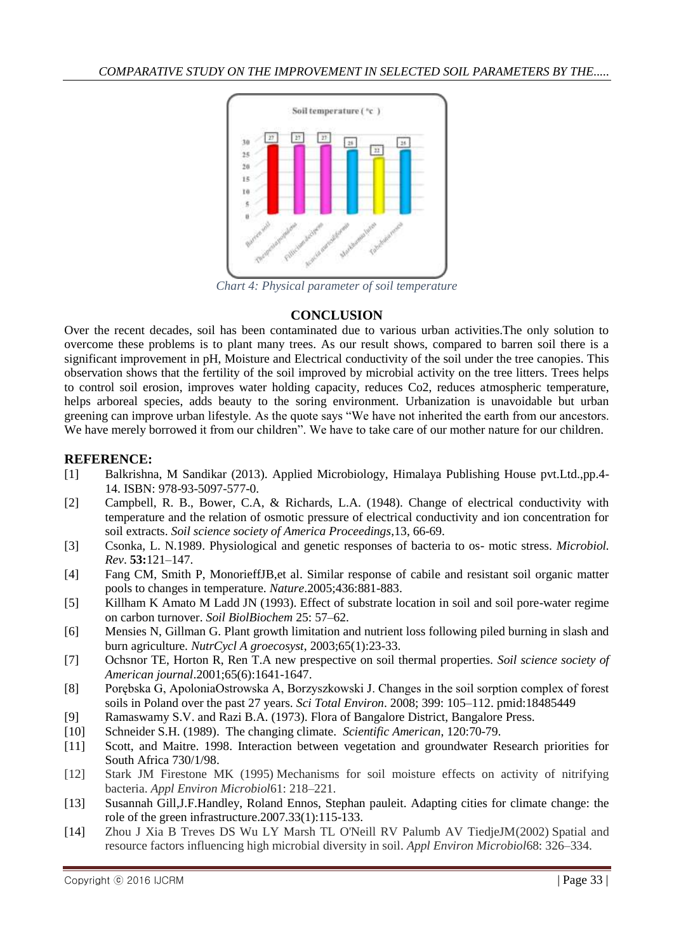

*Chart 4: Physical parameter of soil temperature*

## **CONCLUSION**

Over the recent decades, soil has been contaminated due to various urban activities.The only solution to overcome these problems is to plant many trees. As our result shows, compared to barren soil there is a significant improvement in pH, Moisture and Electrical conductivity of the soil under the tree canopies. This observation shows that the fertility of the soil improved by microbial activity on the tree litters. Trees helps to control soil erosion, improves water holding capacity, reduces Co2, reduces atmospheric temperature, helps arboreal species, adds beauty to the soring environment. Urbanization is unavoidable but urban greening can improve urban lifestyle. As the quote says "We have not inherited the earth from our ancestors. We have merely borrowed it from our children". We have to take care of our mother nature for our children.

# **REFERENCE:**

- [1] Balkrishna, M Sandikar (2013). Applied Microbiology, Himalaya Publishing House pvt.Ltd.,pp.4- 14. ISBN: 978-93-5097-577-0.
- [2] Campbell, R. B., Bower, C.A, & Richards, L.A. (1948). Change of electrical conductivity with temperature and the relation of osmotic pressure of electrical conductivity and ion concentration for soil extracts. *Soil science society of America Proceedings*,13, 66-69.
- [3] Csonka, L. N.1989. Physiological and genetic responses of bacteria to os- motic stress. *Microbiol. Rev*. **53:**121–147.
- [4] Fang CM, Smith P, MonorieffJB,et al. Similar response of cabile and resistant soil organic matter pools to changes in temperature. *Nature*.2005;436:881-883.
- [5] Killham K Amato M Ladd JN (1993). Effect of substrate location in soil and soil pore-water regime on carbon turnover. *Soil BiolBiochem* 25: 57–62.
- [6] Mensies N, Gillman G. Plant growth limitation and nutrient loss following piled burning in slash and burn agriculture*. NutrCycl A groecosyst*, 2003;65(1):23-33.
- [7] Ochsnor TE, Horton R, Ren T.A new prespective on soil thermal properties. *Soil science society of American journal*.2001;65(6):1641-1647.
- [8] Porębska G, ApoloniaOstrowska A, Borzyszkowski J. Changes in the soil sorption complex of forest soils in Poland over the past 27 years. *Sci Total Environ*. 2008; 399: 105–112. pmid:18485449
- [9] Ramaswamy S.V. and Razi B.A. (1973). Flora of Bangalore District, Bangalore Press.
- [10] Schneider S.H. (1989). The changing climate. *Scientific American*, 120:70-79.
- [11] Scott, and Maitre. 1998. Interaction between vegetation and groundwater Research priorities for South Africa 730/1/98.
- [12] Stark JM Firestone MK (1995) Mechanisms for soil moisture effects on activity of nitrifying bacteria. *Appl Environ Microbiol*61: 218–221.
- [13] Susannah Gill,J.F.Handley, Roland Ennos, Stephan pauleit. Adapting cities for climate change: the role of the green infrastructure.2007.33(1):115-133.
- [14] Zhou J Xia B Treves DS Wu LY Marsh TL O'Neill RV Palumb AV TiedjeJM(2002) Spatial and resource factors influencing high microbial diversity in soil. *Appl Environ Microbiol*68: 326–334.